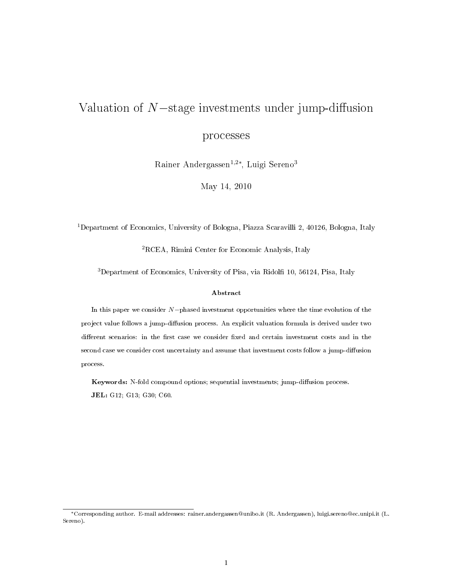# Valuation of  $N$ −stage investments under jump-diffusion processes

Rainer Andergassen<sup>1,2∗</sup>, Luigi Sereno<sup>3</sup>

May 14, 2010

<sup>1</sup>Department of Economics, University of Bologna, Piazza Scaravilli 2, 40126, Bologna, Italy

<sup>2</sup>RCEA, Rimini Center for Economic Analysis, Italy

<sup>3</sup>Department of Economics, University of Pisa, via Ridolfi 10, 56124, Pisa, Italy

#### Abstract

In this paper we consider N−phased investment opportunities where the time evolution of the project value follows a jump-diffusion process. An explicit valuation formula is derived under two different scenarios: in the first case we consider fixed and certain investment costs and in the second case we consider cost uncertainty and assume that investment costs follow a jump-diffusion process.

Keywords: N-fold compound options; sequential investments; jump-diffusion process. JEL: G12; G13; G30; C60.

<sup>∗</sup>Corresponding author. E-mail addresses: rainer.andergassen@unibo.it (R. Andergassen), luigi.sereno@ec.unipi.it (L. Sereno).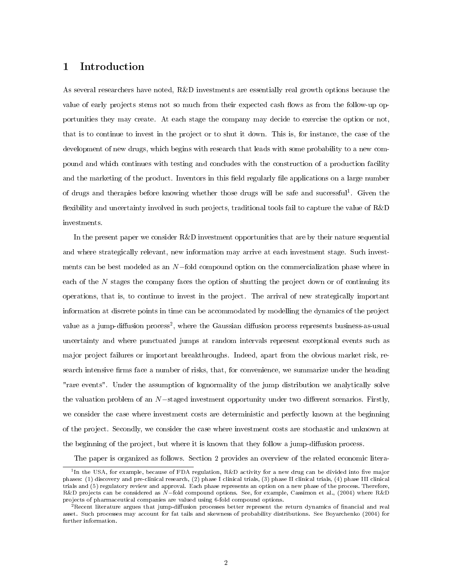## 1 Introduction

As several researchers have noted, R&D investments are essentially real growth options because the value of early projects stems not so much from their expected cash flows as from the follow-up opportunities they may create. At each stage the company may decide to exercise the option or not, that is to continue to invest in the project or to shut it down. This is, for instance, the case of the development of new drugs, which begins with research that leads with some probability to a new compound and which continues with testing and concludes with the construction of a production facility and the marketing of the product. Inventors in this field regularly file applications on a large number of drugs and therapies before knowing whether those drugs will be safe and successful<sup>1</sup>. Given the flexibility and uncertainty involved in such projects, traditional tools fail to capture the value of R&D investments.

In the present paper we consider R&D investment opportunities that are by their nature sequential and where strategically relevant, new information may arrive at each investment stage. Such investments can be best modeled as an N−fold compound option on the commercialization phase where in each of the N stages the company faces the option of shutting the project down or of continuing its operations, that is, to continue to invest in the project. The arrival of new strategically important information at discrete points in time can be accommodated by modelling the dynamics of the project value as a jump-diffusion process<sup>2</sup>, where the Gaussian diffusion process represents business-as-usual uncertainty and where punctuated jumps at random intervals represent exceptional events such as major project failures or important breakthroughs. Indeed, apart from the obvious market risk, research intensive firms face a number of risks, that, for convenience, we summarize under the heading "rare events". Under the assumption of lognormality of the jump distribution we analytically solve the valuation problem of an  $N$ -staged investment opportunity under two different scenarios. Firstly, we consider the case where investment costs are deterministic and perfectly known at the beginning of the project. Secondly, we consider the case where investment costs are stochastic and unknown at the beginning of the project, but where it is known that they follow a jump-diffusion process.

The paper is organized as follows. Section 2 provides an overview of the related economic litera-

<sup>&</sup>lt;sup>1</sup>In the USA, for example, because of FDA regulation, R&D activity for a new drug can be divided into five major phases: (1) discovery and pre-clinical research, (2) phase I clinical trials, (3) phase II clinical trials, (4) phase III clinical trials and (5) regulatory review and approval. Each phase represents an option on a new phase of the process. Therefore, R&D projects can be considered as N−fold compound options. See, for example, Cassimon et al., (2004) where R&D projects of pharmaceutical companies are valued using 6-fold compound options.

 $^2$ Recent literature argues that jump-diffusion processes better represent the return dynamics of financial and real asset. Such processes may account for fat tails and skewness of probability distributions. See Boyarchenko (2004) for further information.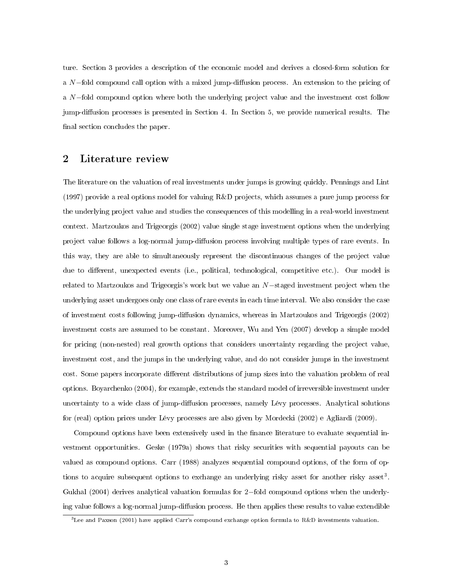ture. Section 3 provides a description of the economic model and derives a closed-form solution for a  $N$ –fold compound call option with a mixed jump-diffusion process. An extension to the pricing of a N−fold compound option where both the underlying project value and the investment cost follow jump-diffusion processes is presented in Section 4. In Section 5, we provide numerical results. The final section concludes the paper.

## 2 Literature review

The literature on the valuation of real investments under jumps is growing quickly. Pennings and Lint (1997) provide a real options model for valuing R&D projects, which assumes a pure jump process for the underlying project value and studies the consequences of this modelling in a real-world investment context. Martzoukos and Trigeorgis (2002) value single stage investment options when the underlying project value follows a log-normal jump-diffusion process involving multiple types of rare events. In this way, they are able to simultaneously represent the discontinuous changes of the project value due to different, unexpected events (i.e., political, technological, competitive etc.). Our model is related to Martzoukos and Trigeorgis's work but we value an N−staged investment project when the underlying asset undergoes only one class of rare events in each time interval. We also consider the case of investment costs following jump-diffusion dynamics, whereas in Martzoukos and Trigeorgis (2002) investment costs are assumed to be constant. Moreover, Wu and Yen (2007) develop a simple model for pricing (non-nested) real growth options that considers uncertainty regarding the project value, investment cost, and the jumps in the underlying value, and do not consider jumps in the investment cost. Some papers incorporate different distributions of jump sizes into the valuation problem of real options. Boyarchenko (2004), for example, extends the standard model of irreversible investment under uncertainty to a wide class of jump-diffusion processes, namely Lévy processes. Analytical solutions for (real) option prices under Lévy processes are also given by Mordecki (2002) e Agliardi (2009).

Compound options have been extensively used in the finance literature to evaluate sequential investment opportunities. Geske (1979a) shows that risky securities with sequential payouts can be valued as compound options. Carr (1988) analyzes sequential compound options, of the form of options to acquire subsequent options to exchange an underlying risky asset for another risky asset<sup>3</sup>. Gukhal (2004) derives analytical valuation formulas for 2−fold compound options when the underlying value follows a log-normal jump-diffusion process. He then applies these results to value extendible

<sup>3</sup>Lee and Paxson (2001) have applied Carr's compound exchange option formula to R&D investments valuation.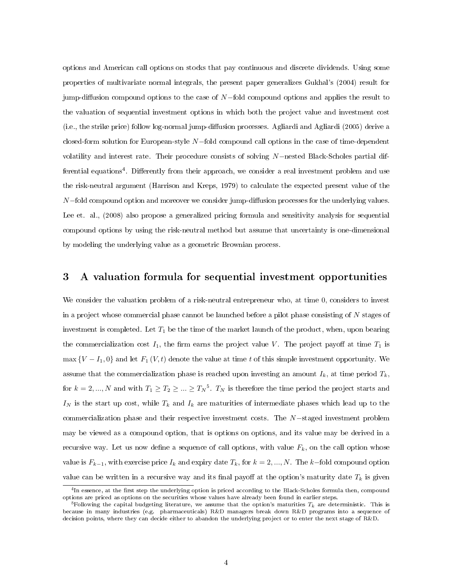options and American call options on stocks that pay continuous and discrete dividends. Using some properties of multivariate normal integrals, the present paper generalizes Gukhal's (2004) result for jump-diffusion compound options to the case of  $N$ -fold compound options and applies the result to the valuation of sequential investment options in which both the project value and investment cost  $(i.e., the strike price) follow log-normal jump-diffusion processes. \n*Agliardi and Agliardi* (2005) derive a$ closed-form solution for European-style N−fold compound call options in the case of time-dependent volatility and interest rate. Their procedure consists of solving N−nested Black-Scholes partial differential equations<sup>4</sup>. Differently from their approach, we consider a real investment problem and use the risk-neutral argument (Harrison and Kreps, 1979) to calculate the expected present value of the  $N$ –fold compound option and moreover we consider jump-diffusion processes for the underlying values. Lee et. al., (2008) also propose a generalized pricing formula and sensitivity analysis for sequential compound options by using the risk-neutral method but assume that uncertainty is one-dimensional by modeling the underlying value as a geometric Brownian process.

## 3 A valuation formula for sequential investment opportunities

We consider the valuation problem of a risk-neutral entrepreneur who, at time 0, considers to invest in a project whose commercial phase cannot be launched before a pilot phase consisting of  $N$  stages of investment is completed. Let  $T_1$  be the time of the market launch of the product, when, upon bearing the commercialization cost  $I_1$ , the firm earns the project value V. The project payoff at time  $T_1$  is max  ${V - I_1, 0}$  and let  $F_1(V, t)$  denote the value at time t of this simple investment opportunity. We assume that the commercialization phase is reached upon investing an amount  $I_k$ , at time period  $T_k$ , for  $k = 2, ..., N$  and with  $T_1 \ge T_2 \ge ... \ge T_N^5$ .  $T_N$  is therefore the time period the project starts and  $I_N$  is the start up cost, while  $T_k$  and  $I_k$  are maturities of intermediate phases which lead up to the commercialization phase and their respective investment costs. The N−staged investment problem may be viewed as a compound option, that is options on options, and its value may be derived in a recursive way. Let us now define a sequence of call options, with value  $F_k$ , on the call option whose value is  $F_{k-1}$ , with exercise price  $I_k$  and expiry date  $T_k$ , for  $k = 2, ..., N$ . The k-fold compound option value can be written in a recursive way and its final payoff at the option's maturity date  $T_k$  is given

 $^4$ In essence, at the first step the underlying option is priced according to the Black-Scholes formula then, compound options are priced as options on the securities whose values have already been found in earlier steps.

<sup>&</sup>lt;sup>5</sup>Following the capital budgeting literature, we assume that the option's maturities  $T_k$  are deterministic. This is because in many industries (e.g. pharmaceuticals) R&D managers break down R&D programs into a sequence of decision points, where they can decide either to abandon the underlying project or to enter the next stage of R&D.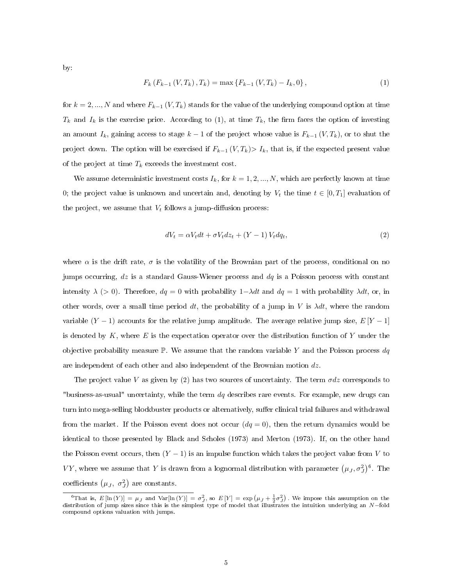by:

$$
F_k(F_{k-1}(V,T_k),T_k) = \max\{F_{k-1}(V,T_k) - I_k,0\},\tag{1}
$$

for  $k = 2, ..., N$  and where  $F_{k-1}(V, T_k)$  stands for the value of the underlying compound option at time  $T_k$  and  $I_k$  is the exercise price. According to (1), at time  $T_k$ , the firm faces the option of investing an amount  $I_k$ , gaining access to stage  $k-1$  of the project whose value is  $F_{k-1}(V, T_k)$ , or to shut the project down. The option will be exercised if  $F_{k-1} (V, T_k) > I_k$ , that is, if the expected present value of the project at time  $T_k$  exceeds the investment cost.

We assume deterministic investment costs  $I_k$ , for  $k = 1, 2, ..., N$ , which are perfectly known at time 0; the project value is unknown and uncertain and, denoting by  $V_t$  the time  $t \in [0, T_1]$  evaluation of the project, we assume that  $V_t$  follows a jump-diffusion process:

$$
dV_t = \alpha V_t dt + \sigma V_t dz_t + (Y - 1) V_t dq_t,
$$
\n
$$
(2)
$$

where  $\alpha$  is the drift rate,  $\sigma$  is the volatility of the Brownian part of the process, conditional on no jumps occurring,  $dz$  is a standard Gauss-Wiener process and  $dq$  is a Poisson process with constant intensity  $\lambda$  (> 0). Therefore,  $dq = 0$  with probability  $1-\lambda dt$  and  $dq = 1$  with probability  $\lambda dt$ , or, in other words, over a small time period dt, the probability of a jump in V is  $\lambda dt$ , where the random variable  $(Y - 1)$  accounts for the relative jump amplitude. The average relative jump size,  $E[Y - 1]$ is denoted by  $K$ , where  $E$  is the expectation operator over the distribution function of Y under the objective probability measure  $\mathbb{P}$ . We assume that the random variable Y and the Poisson process  $dq$ are independent of each other and also independent of the Brownian motion  $dz$ .

The project value V as given by (2) has two sources of uncertainty. The term  $\sigma dz$  corresponds to "business-as-usual" uncertainty, while the term  $dq$  describes rare events. For example, new drugs can turn into mega-selling blockbuster products or alternatively, suffer clinical trial failures and withdrawal from the market. If the Poisson event does not occur  $(dq = 0)$ , then the return dynamics would be identical to those presented by Black and Scholes (1973) and Merton (1973). If, on the other hand the Poisson event occurs, then  $(Y - 1)$  is an impulse function which takes the project value from V to VY, where we assume that Y is drawn from a lognormal distribution with parameter  $(\mu_J, \sigma_J^2)^6$ . The coefficients  $(\mu_J, \sigma_J^2)$  are constants.

<sup>&</sup>lt;sup>6</sup>That is,  $E[\ln(Y)] = \mu_J$  and  $Var[\ln(Y)] = \sigma_J^2$ , so  $E[Y] = \exp(\mu_J + \frac{1}{2}\sigma_J^2)$ . We impose this assumption on the distribution of jump sizes since this is the simplest type of model that illustrates the intuition underlying an N−fold compound options valuation with jumps.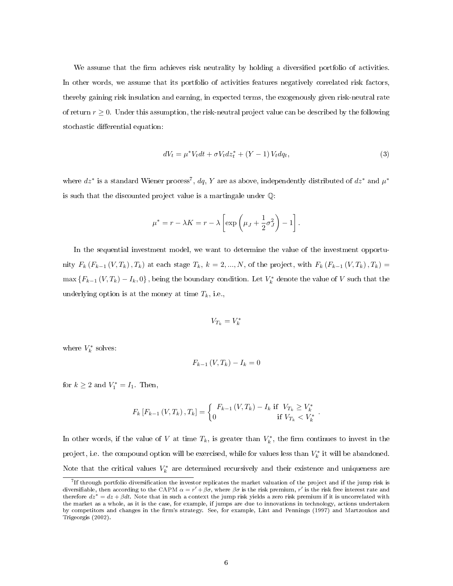We assume that the firm achieves risk neutrality by holding a diversified portfolio of activities. In other words, we assume that its portfolio of activities features negatively correlated risk factors, thereby gaining risk insulation and earning, in expected terms, the exogenously given risk-neutral rate of return  $r \geq 0$ . Under this assumption, the risk-neutral project value can be described by the following stochastic differential equation:

$$
dV_t = \mu^* V_t dt + \sigma V_t dz_t^* + (Y - 1) V_t dq_t, \tag{3}
$$

where  $dz^*$  is a standard Wiener process<sup>7</sup>, dq, Y are as above, independently distributed of  $dz^*$  and  $\mu^*$ is such that the discounted project value is a martingale under Q:

$$
\mu^* = r - \lambda K = r - \lambda \left[ \exp\left(\mu_J + \frac{1}{2}\sigma_J^2\right) - 1 \right].
$$

In the sequential investment model, we want to determine the value of the investment opportunity  $F_k(F_{k-1}(V, T_k), T_k)$  at each stage  $T_k$ ,  $k = 2, ..., N$ , of the project, with  $F_k(F_{k-1}(V, T_k), T_k) =$  $\max\left\{F_{k-1}\left(V,T_k\right)-I_k,0\right\}$ , being the boundary condition. Let  $V_k^*$  denote the value of  $V$  such that the underlying option is at the money at time  $T_k$ , i.e.,

$$
V_{T_k}=V_k^*
$$

where  $V_k^*$  solves:

$$
F_{k-1}\left(V,T_k\right) - I_k = 0
$$

for  $k \geq 2$  and  $V_1^* = I_1$ . Then,

$$
F_k\left[F_{k-1}\left(V,T_k\right),T_k\right] = \begin{cases} F_{k-1}\left(V,T_k\right) - I_k & \text{if } V_{T_k} \ge V_k^* \\ 0 & \text{if } V_{T_k} < V_k^* \end{cases}
$$

.

In other words, if the value of V at time  $T_k$ , is greater than  $V_k^*$ , the firm continues to invest in the project, i.e. the compound option will be exercised, while for values less than  $V_k^*$  it will be abandoned. Note that the critical values  $V_k^*$  are determined recursively and their existence and uniqueness are

<sup>7</sup> If through portfolio diversication the investor replicates the market valuation of the project and if the jump risk is diversifiable, then according to the CAPM  $\alpha = r' + \beta \sigma$ , where  $\beta \sigma$  is the risk premium, r' is the risk free interest rate and therefore  $dz^* = dz + \beta dt$ . Note that in such a context the jump risk yields a zero risk premium if it is uncorrelated with the market as a whole, as it is the case, for example, if jumps are due to innovations in technology, actions undertaken by competitors and changes in the firm's strategy. See, for example, Lint and Pennings (1997) and Martzoukos and Trigeorgis (2002).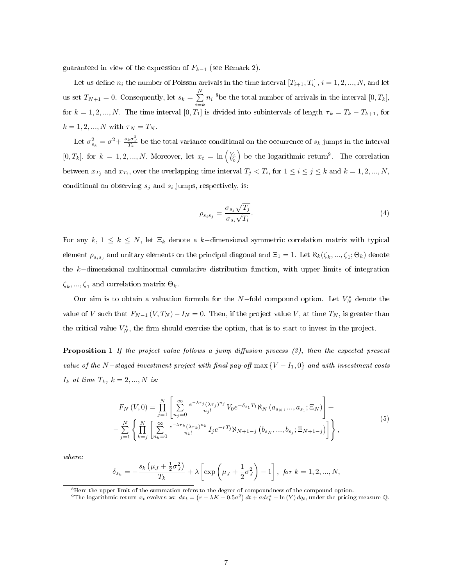guaranteed in view of the expression of  $F_{k-1}$  (see Remark 2).

Let us define  $n_i$  the number of Poisson arrivals in the time interval  $[T_{i+1}, T_i]$ ,  $i = 1, 2, ..., N$ , and let us set  $T_{N+1} = 0$ . Consequently, let  $s_k = \sum_{n=1}^{N}$  $\sum_{i=k}^{N} n_i$  <sup>8</sup>be the total number of arrivals in the interval  $[0, T_k]$ , for  $k = 1, 2, ..., N$ . The time interval  $[0, T_1]$  is divided into subintervals of length  $\tau_k = T_k - T_{k+1}$ , for  $k = 1, 2, ..., N$  with  $\tau_N = T_N$ .

Let  $\sigma_{s_k}^2 = \sigma^2 + \frac{s_k \sigma_y^2}{T_k}$  be the total variance conditional on the occurrence of  $s_k$  jumps in the interval  $[0, T_k]$ , for  $k = 1, 2, ..., N$ . Moreover, let  $x_t = \ln\left(\frac{V_t}{V_0}\right)$  be the logarithmic return<sup>9</sup>. The correlation between  $x_{T_j}$  and  $x_{T_i}$ , over the overlapping time interval  $T_j < T_i$ , for  $1 \le i \le j \le k$  and  $k = 1, 2, ..., N$ , conditional on observing  $s_j$  and  $s_i$  jumps, respectively, is:

$$
\rho_{s_i s_j} = \frac{\sigma_{s_j} \sqrt{T_j}}{\sigma_{s_i} \sqrt{T_i}}.
$$
\n
$$
(4)
$$

For any  $k, 1 \leq k \leq N$ , let  $\Xi_k$  denote a k-dimensional symmetric correlation matrix with typical element  $\rho_{s_is_j}$  and unitary elements on the principal diagonal and  $\Xi_1=1$ . Let  $\aleph_k(\zeta_k,...,\zeta_1;\Theta_k)$  denote the k−dimensional multinormal cumulative distribution function, with upper limits of integration  $\zeta_k, ..., \zeta_1$  and correlation matrix  $\Theta_k$ .

Our aim is to obtain a valuation formula for the N-fold compound option. Let  $V_N^*$  denote the value of V such that  $F_{N-1} (V, T_N) - I_N = 0$ . Then, if the project value V, at time  $T_N$ , is greater than the critical value  $V_N^*$ , the firm should exercise the option, that is to start to invest in the project.

**Proposition 1** If the project value follows a jump-diffusion process  $(3)$ , then the expected present value of the N-staged investment project with final pay-off  $\max\{V - I_1, 0\}$  and with investment costs  $I_k$  at time  $T_k$ ,  $k = 2, ..., N$  is:

$$
F_N(V,0) = \prod_{j=1}^N \left[ \sum_{n_j=0}^\infty \frac{e^{-\lambda \tau_j} (\lambda \tau_j)^{n_j}}{n_j!} V_0 e^{-\delta_{s_1} T_1} \aleph_N(a_{s_N},...,a_{s_1}; \Xi_N) \right] +
$$
  

$$
- \sum_{j=1}^N \left\{ \prod_{k=j}^N \left[ \sum_{n_k=0}^\infty \frac{e^{-\lambda \tau_k} (\lambda \tau_k)^{n_k}}{n_k!} I_j e^{-rT_j} \aleph_{N+1-j} (b_{s_N},...,b_{s_j}; \Xi_{N+1-j}) \right] \right\},
$$

$$
(5)
$$

where:

$$
\delta_{s_k} = -\frac{s_k \left(\mu_J + \frac{1}{2} \sigma_J^2\right)}{T_k} + \lambda \left[ \exp \left(\mu_J + \frac{1}{2} \sigma_J^2\right) - 1 \right], \text{ for } k = 1, 2, ..., N,
$$

 ${}^{8}$ Here the upper limit of the summation refers to the degree of compoundness of the compound option.

<sup>&</sup>lt;sup>9</sup>The logarithmic return  $x_t$  evolves as:  $dx_t = (r - \lambda K - 0.5\sigma^2) dt + \sigma dz_t^* + \ln(Y) dq_t$ , under the pricing measure Q.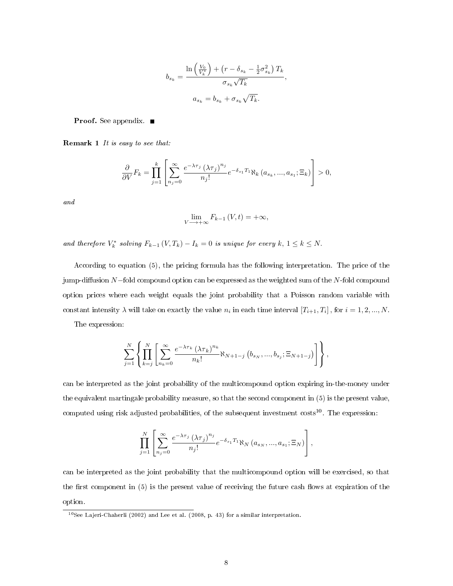$$
b_{s_k} = \frac{\ln\left(\frac{V_0}{V_k^*}\right) + \left(r - \delta_{s_k} - \frac{1}{2}\sigma_{s_k}^2\right)T_k}{\sigma_{s_k}\sqrt{T_k}},
$$

$$
a_{s_k} = b_{s_k} + \sigma_{s_k}\sqrt{T_k}.
$$

Proof. See appendix. ■

Remark 1 It is easy to see that:

$$
\frac{\partial}{\partial V}F_k = \prod_{j=1}^k \left[ \sum_{n_j=0}^\infty \frac{e^{-\lambda \tau_j} \left(\lambda \tau_j\right)^{n_j}}{n_j!} e^{-\delta_{s_1} T_1} \aleph_k\left(a_{s_k}, \dots, a_{s_1}; \Xi_k\right) \right] > 0,
$$

and

$$
\lim_{V \longrightarrow +\infty} F_{k-1}(V, t) = +\infty,
$$

and therefore  $V_k^*$  solving  $F_{k-1} (V, T_k) - I_k = 0$  is unique for every  $k, 1 \leq k \leq N$ .

According to equation (5), the pricing formula has the following interpretation. The price of the jump-diffusion N-fold compound option can be expressed as the weighted sum of the N-fold compound option prices where each weight equals the joint probability that a Poisson random variable with constant intensity  $\lambda$  will take on exactly the value  $n_i$  in each time interval  $[T_{i+1}, T_i]$ , for  $i = 1, 2, ..., N$ .

The expression:

$$
\sum_{j=1}^{N} \left\{ \prod_{k=j}^{N} \left[ \sum_{n_k=0}^{\infty} \frac{e^{-\lambda \tau_k} (\lambda \tau_k)^{n_k}}{n_k!} \aleph_{N+1-j} (b_{s_N},...,b_{s_j}; \Xi_{N+1-j}) \right] \right\},
$$

can be interpreted as the joint probability of the multicompound option expiring in-the-money under the equivalent martingale probability measure, so that the second component in (5) is the present value, computed using risk adjusted probabilities, of the subsequent investment costs<sup>10</sup>. The expression:

$$
\prod_{j=1}^N \left[ \sum_{n_j=0}^\infty \frac{e^{-\lambda \tau_j} \left(\lambda \tau_j\right)^{n_j}}{n_j!} e^{-\delta_{s_1} T_1} \aleph_N\left(a_{s_N},...,a_{s_1}; \Xi_N\right) \right],
$$

can be interpreted as the joint probability that the multicompound option will be exercised, so that the first component in  $(5)$  is the present value of receiving the future cash flows at expiration of the option.

 $10$ See Lajeri-Chaherli (2002) and Lee et al. (2008, p. 43) for a similar interpretation.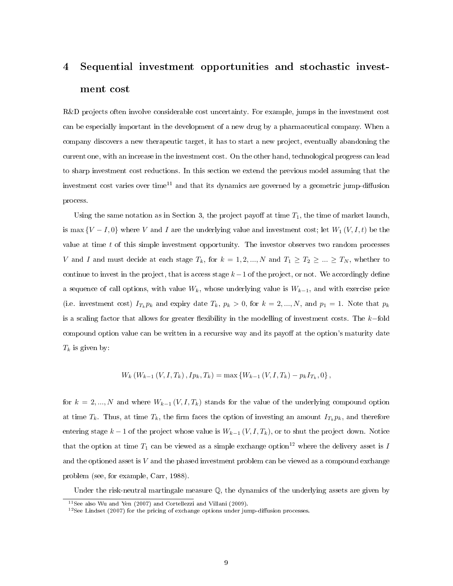## 4 Sequential investment opportunities and stochastic investment cost

R&D projects often involve considerable cost uncertainty. For example, jumps in the investment cost can be especially important in the development of a new drug by a pharmaceutical company. When a company discovers a new therapeutic target, it has to start a new project, eventually abandoning the current one, with an increase in the investment cost. On the other hand, technological progress can lead to sharp investment cost reductions. In this section we extend the previous model assuming that the investment cost varies over time<sup>11</sup> and that its dynamics are governed by a geometric jump-diffusion process.

Using the same notation as in Section 3, the project payoff at time  $T_1$ , the time of market launch, is max  ${V - I, 0}$  where V and I are the underlying value and investment cost; let  $W_1(V, I, t)$  be the value at time  $t$  of this simple investment opportunity. The investor observes two random processes V and I and must decide at each stage  $T_k$ , for  $k = 1, 2, ..., N$  and  $T_1 \ge T_2 \ge ... \ge T_N$ , whether to continue to invest in the project, that is access stage  $k-1$  of the project, or not. We accordingly define a sequence of call options, with value  $W_k$ , whose underlying value is  $W_{k-1}$ , and with exercise price (i.e. investment cost)  $I_{T_k} p_k$  and expiry date  $T_k$ ,  $p_k > 0$ , for  $k = 2, ..., N$ , and  $p_1 = 1$ . Note that  $p_k$ is a scaling factor that allows for greater flexibility in the modelling of investment costs. The  $k$ -fold compound option value can be written in a recursive way and its payoff at the option's maturity date  $T_k$  is given by:

$$
W_k (W_{k-1} (V, I, T_k), I p_k, T_k) = \max \{ W_{k-1} (V, I, T_k) - p_k I_{T_k}, 0 \},
$$

for  $k = 2, ..., N$  and where  $W_{k-1}(V, I, T_k)$  stands for the value of the underlying compound option at time  $T_k$ . Thus, at time  $T_k$ , the firm faces the option of investing an amount  $I_{T_k} p_k$ , and therefore entering stage  $k-1$  of the project whose value is  $W_{k-1}(V, I, T_k)$ , or to shut the project down. Notice that the option at time  $T_1$  can be viewed as a simple exchange option<sup>12</sup> where the delivery asset is I and the optioned asset is  $V$  and the phased investment problem can be viewed as a compound exchange problem (see, for example, Carr, 1988).

Under the risk-neutral martingale measure  $\mathbb{Q}$ , the dynamics of the underlying assets are given by

<sup>11</sup>See also Wu and Yen (2007) and Cortellezzi and Villani (2009).

 $12$ See Lindset (2007) for the pricing of exchange options under jump-diffusion processes.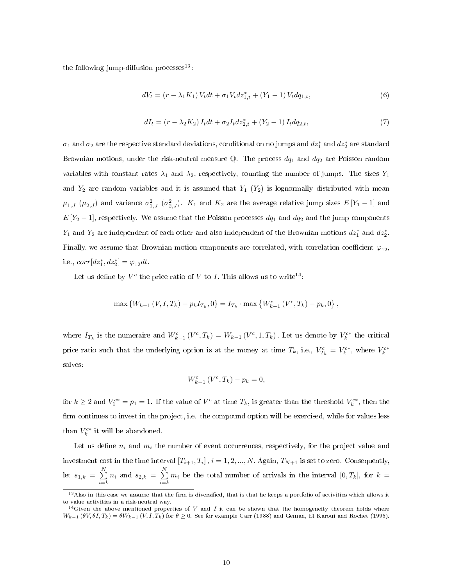the following jump-diffusion processes $13$ :

$$
dV_t = (r - \lambda_1 K_1) V_t dt + \sigma_1 V_t dz_{1,t}^* + (Y_1 - 1) V_t dq_{1,t},
$$
\n(6)

$$
dI_t = (r - \lambda_2 K_2) I_t dt + \sigma_2 I_t dz_{2,t}^* + (Y_2 - 1) I_t dq_{2,t},
$$
\n(7)

 $\sigma_1$  and  $\sigma_2$  are the respective standard deviations, conditional on no jumps and  $dz_1^*$  and  $dz_2^*$  are standard Brownian motions, under the risk-neutral measure  $\mathbb{Q}$ . The process  $dq_1$  and  $dq_2$  are Poisson random variables with constant rates  $\lambda_1$  and  $\lambda_2$ , respectively, counting the number of jumps. The sizes  $Y_1$ and  $Y_2$  are random variables and it is assumed that  $Y_1$  ( $Y_2$ ) is lognormally distributed with mean  $\mu_{1,J}$  ( $\mu_{2,J}$ ) and variance  $\sigma_{1,J}^2$  ( $\sigma_{2,J}^2$ ).  $K_1$  and  $K_2$  are the average relative jump sizes  $E[Y_1-1]$  and  $E[Y_2-1]$ , respectively. We assume that the Poisson processes  $dq_1$  and  $dq_2$  and the jump components  $Y_1$  and  $Y_2$  are independent of each other and also independent of the Brownian motions  $dz_1^*$  and  $dz_2^*$ . Finally, we assume that Brownian motion components are correlated, with correlation coefficient  $\varphi_{12}$ , i.e.,  $corr[dz_1^*, dz_2^*] = \varphi_{12} dt$ .

Let us define by  $V^c$  the price ratio of V to I. This allows us to write<sup>14</sup>:

$$
\max\left\{W_{k-1}\left(V, I, T_k\right) - p_k I_{T_k}, 0\right\} = I_{T_k} \cdot \max\left\{W_{k-1}^c\left(V^c, T_k\right) - p_k, 0\right\},\
$$

where  $I_{T_k}$  is the numeraire and  $W_{k-1}^c(V^c,T_k) = W_{k-1}(V^c,1,T_k)$ . Let us denote by  $V_k^{c*}$  the critical price ratio such that the underlying option is at the money at time  $T_k$ , i.e.,  $V_{T_k}^c = V_k^{c*}$ , where  $V_k^{c*}$ solves:

$$
W_{k-1}^{c} \left( V^{c}, T_{k} \right) - p_{k} = 0,
$$

for  $k \geq 2$  and  $V_1^{c*} = p_1 = 1$ . If the value of  $V^c$  at time  $T_k$ , is greater than the threshold  $V_k^{c*}$ , then the firm continues to invest in the project, i.e. the compound option will be exercised, while for values less than  $V_k^{c*}$  it will be abandoned.

Let us define  $n_i$  and  $m_i$  the number of event occurrences, respectively, for the project value and investment cost in the time interval  $[T_{i+1}, T_i]$ ,  $i = 1, 2, ..., N$ . Again,  $T_{N+1}$  is set to zero. Consequently, let  $s_{1,k} = \sum_{k=1}^{N}$  $\sum_{i=k}^{N} n_i$  and  $s_{2,k} = \sum_{i=k}^{N}$  $\sum_{i=k} m_i$  be the total number of arrivals in the interval  $[0, T_k]$ , for  $k =$ 

 $13$  Also in this case we assume that the firm is diversified, that is that he keeps a portfolio of activities which allows it to value activities in a risk-neutral way.

<sup>&</sup>lt;sup>14</sup>Given the above mentioned properties of  $V$  and  $I$  it can be shown that the homogeneity theorem holds where  $W_{k-1}(\theta V, \theta I, T_k) = \theta W_{k-1}(V, I, T_k)$  for  $\theta \ge 0$ . See for example Carr (1988) and Geman, El Karoui and Rochet (1995).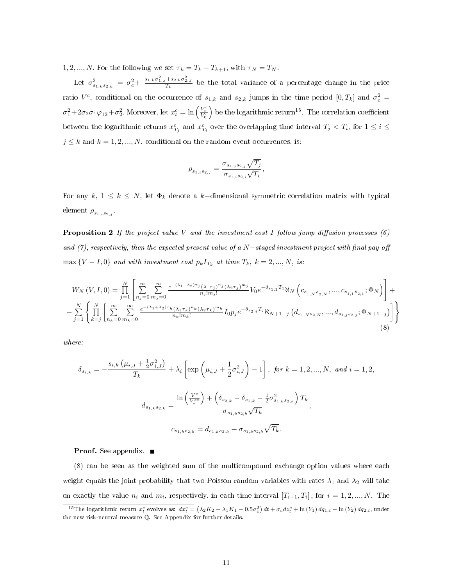1, 2, ..., N. For the following we set  $\tau_k = T_k - T_{k+1}$ , with  $\tau_N = T_N$ .

Let  $\sigma_{s_{1,k}s_{2,k}}^2 = \sigma_c^2 + \frac{s_{1,k}\sigma_{1,j}^2 + s_{2,k}\sigma_{2,j}^2}{T_k}$  be the total variance of a percentage change in the price ratio  $V^c$ , conditional on the occurrence of  $s_{1,k}$  and  $s_{2,k}$  jumps in the time period  $[0,T_k]$  and  $\sigma_c^2 =$  $\sigma_1^2 + 2\sigma_2\sigma_1\varphi_{12} + \sigma_2^2$ . Moreover, let  $x_t^c = \ln\left(\frac{V_t^c}{V_0^c}\right)$ ) be the logarithmic return<sup>15</sup>. The correlation coefficient between the logarithmic returns  $x_{T_i}^c$  and  $x_{T_i}^c$  over the overlapping time interval  $T_j < T_i$ , for  $1 \leq i \leq$  $j \leq k$  and  $k = 1, 2, ..., N$ , conditional on the random event occurrences, is:

$$
\rho_{s_{1,i}s_{2,j}} = \frac{\sigma_{s_{1,j}s_{2,j}}\sqrt{T_j}}{\sigma_{s_{1,i}s_{2,i}}\sqrt{T_i}},
$$

For any  $k, 1 \leq k \leq N$ , let  $\Phi_k$  denote a k-dimensional symmetric correlation matrix with typical element  $\rho_{s_{1,i}s_{2,j}}$ .

**Proposition 2** If the project value V and the investment cost I follow jump-diffusion processes  $(6)$ and (7), respectively, then the expected present value of a  $N$ −staged investment project with final pay-off  $\max\{V-I,0\}$  and with investment cost  $p_kI_{T_k}$  at time  $T_k$ ,  $k=2,...,N$ , is:

$$
W_{N}\left(V,I,0\right) = \prod_{j=1}^{N} \left[ \sum_{n_{j}=0}^{\infty} \sum_{m_{j}=0}^{\infty} \frac{e^{-(\lambda_{1}+\lambda_{2})\tau_{j}}(\lambda_{1}\tau_{j})^{n_{j}}(\lambda_{2}\tau_{j})^{m_{j}}}{n_{j}!m_{j}!} V_{0}e^{-\delta_{s_{1,1}}T_{1}} \aleph_{N}\left(c_{s_{1,N}s_{2,N}},...,c_{s_{1,1}s_{2,1}};\Phi_{N}\right)\right] + \left. - \sum_{j=1}^{N} \left\{ \prod_{k=j}^{N} \left[ \sum_{n_{k}=0}^{\infty} \sum_{m_{k}=0}^{\infty} \frac{e^{-(\lambda_{1}+\lambda_{2})\tau_{k}}(\lambda_{1}\tau_{k})^{n_{k}}(\lambda_{2}\tau_{k})^{m_{k}}}{n_{k}!m_{k}!} I_{0}p_{j}e^{-\delta_{s_{2,j}}T_{j}} \aleph_{N+1-j}\left(d_{s_{1,N}s_{2,N}},...,d_{s_{1,j}s_{2,j}};\Phi_{N+1-j}\right)\right] \right\}
$$
\n(8)

where:

$$
\delta_{s_{i,k}} = -\frac{s_{i,k} \left(\mu_{i,J} + \frac{1}{2} \sigma_{i,J}^2\right)}{T_k} + \lambda_i \left[\exp\left(\mu_{i,J} + \frac{1}{2} \sigma_{i,J}^2\right) - 1\right], \text{ for } k = 1, 2, ..., N, \text{ and } i = 1, 2,
$$
  

$$
d_{s_{1,k}s_{2,k}} = \frac{\ln\left(\frac{V^c}{V_k^{c*}}\right) + \left(\delta_{s_{2,k}} - \delta_{s_{1,k}} - \frac{1}{2} \sigma_{s_{1,k}s_{2,k}}^2\right) T_k}{\sigma_{s_{1,k}s_{2,k}} \sqrt{T_k}},
$$
  

$$
c_{s_{1,k}s_{2,k}} = d_{s_{1,k}s_{2,k}} + \sigma_{s_{1,k}s_{2,k}} \sqrt{T_k}.
$$

**Proof.** See appendix. ■

(8) can be seen as the weighted sum of the multicompound exchange option values where each weight equals the joint probability that two Poisson random variables with rates  $\lambda_1$  and  $\lambda_2$  will take on exactly the value  $n_i$  and  $m_i$ , respectively, in each time interval  $[T_{i+1}, T_i]$ , for  $i = 1, 2, ..., N$ . The

<sup>&</sup>lt;sup>15</sup>The logarithmic return  $x_t^c$  evolves as:  $dx_t^c = (\lambda_2 K_2 - \lambda_1 K_1 - 0.5 \sigma_c^2) dt + \sigma_c dz_t^c + \ln(Y_1) dq_{1,t} - \ln(Y_2) dq_{2,t}$ , under the new risk-neutral measure  $\tilde{\mathbb{Q}}.$  See Appendix for further details.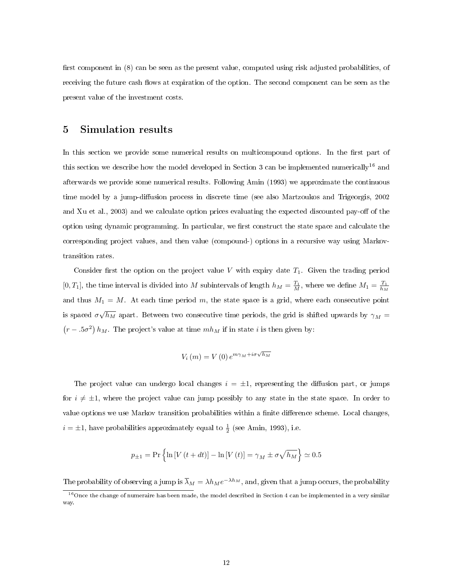first component in  $(8)$  can be seen as the present value, computed using risk adjusted probabilities, of receiving the future cash flows at expiration of the option. The second component can be seen as the present value of the investment costs.

## 5 Simulation results

In this section we provide some numerical results on multicompound options. In the first part of this section we describe how the model developed in Section 3 can be implemented numerically<sup>16</sup> and afterwards we provide some numerical results. Following Amin (1993) we approximate the continuous time model by a jump-diffusion process in discrete time (see also Martzoukos and Trigeorgis, 2002) and Xu et al., 2003) and we calculate option prices evaluating the expected discounted pay-off of the option using dynamic programming. In particular, we first construct the state space and calculate the corresponding project values, and then value (compound-) options in a recursive way using Markovtransition rates.

Consider first the option on the project value V with expiry date  $T_1$ . Given the trading period [0, T<sub>1</sub>], the time interval is divided into M subintervals of length  $h_M = \frac{T_1}{M}$ , where we define  $M_1 = \frac{T_1}{h_M}$ and thus  $M_1 = M$ . At each time period m, the state space is a grid, where each consecutive point is spaced  $\sigma\sqrt{h_M}$  apart. Between two consecutive time periods, the grid is shifted upwards by  $\gamma_M =$  $(r-.5\sigma^2)$   $h_M$ . The project's value at time  $mh_M$  if in state i is then given by:

$$
V_i(m) = V(0) e^{m\gamma_M + i\sigma \sqrt{h_M}}
$$

The project value can undergo local changes  $i = \pm 1$ , representing the diffusion part, or jumps for  $i \neq \pm 1$ , where the project value can jump possibly to any state in the state space. In order to value options we use Markov transition probabilities within a finite difference scheme. Local changes,  $i = \pm 1$ , have probabilities approximately equal to  $\frac{1}{2}$  (see Amin, 1993), i.e.

$$
p_{\pm 1} = \Pr\left\{\ln\left[V\left(t+dt\right)\right] - \ln\left[V\left(t\right)\right] = \gamma_M \pm \sigma\sqrt{h_M}\right\} \simeq 0.5
$$

The probability of observing a jump is  $\overline{\lambda}_M = \lambda h_M e^{-\lambda h_M}$ , and, given that a jump occurs, the probability

<sup>&</sup>lt;sup>16</sup>Once the change of numeraire has been made, the model described in Section 4 can be implemented in a very similar way.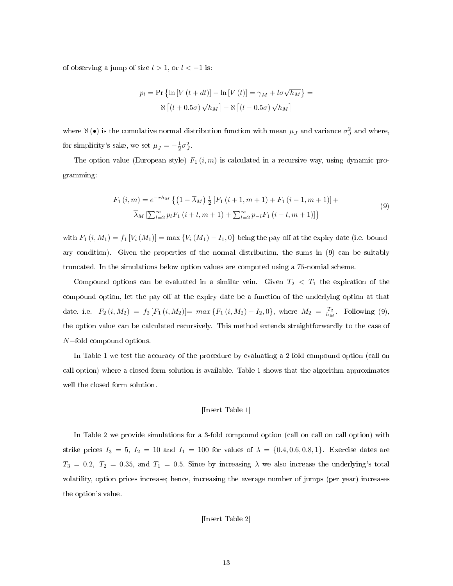of observing a jump of size  $l > 1$ , or  $l < -1$  is:

$$
p_l = \Pr\left\{\ln\left[V\left(t+dt\right)\right] - \ln\left[V\left(t\right)\right] = \gamma_M + l\sigma\sqrt{h_M}\right\} =
$$

$$
\aleph \left[\left(l + 0.5\sigma\right)\sqrt{h_M}\right] - \aleph \left[\left(l - 0.5\sigma\right)\sqrt{h_M}\right]
$$

where  $\aleph(\bullet)$  is the cumulative normal distribution function with mean  $\mu_J$  and variance  $\sigma_J^2$  and where, for simplicity's sake, we set  $\mu_J = -\frac{1}{2}\sigma_J^2$ .

The option value (European style)  $F_1(i, m)$  is calculated in a recursive way, using dynamic programming:

$$
F_1(i,m) = e^{-rh_M} \left\{ \left( 1 - \overline{\lambda}_M \right) \frac{1}{2} \left[ F_1(i+1, m+1) + F_1(i-1, m+1) \right] + \overline{\lambda}_M \left[ \sum_{l=2}^{\infty} p_l F_1(i+l, m+1) + \sum_{l=2}^{\infty} p_{-l} F_1(i-l, m+1) \right] \right\}
$$
\n(9)

with  $F_1(i, M_1) = f_1[V_i(M_1)] = \max\{V_i(M_1) - I_1, 0\}$  being the pay-off at the expiry date (i.e. boundary condition). Given the properties of the normal distribution, the sums in (9) can be suitably truncated. In the simulations below option values are computed using a 75-nomial scheme.

Compound options can be evaluated in a similar vein. Given  $T_2 < T_1$  the expiration of the compound option, let the pay-off at the expiry date be a function of the underlying option at that date, i.e.  $F_2(i, M_2) = f_2[F_1(i, M_2)] = max\{F_1(i, M_2) - I_2, 0\}$ , where  $M_2 = \frac{T_2}{h_M}$ . Following (9), the option value can be calculated recursively. This method extends straightforwardly to the case of N−fold compound options.

In Table 1 we test the accuracy of the procedure by evaluating a 2-fold compound option (call on call option) where a closed form solution is available. Table 1 shows that the algorithm approximates well the closed form solution.

#### [Insert Table 1]

In Table 2 we provide simulations for a 3-fold compound option (call on call on call option) with strike prices  $I_3 = 5$ ,  $I_2 = 10$  and  $I_1 = 100$  for values of  $\lambda = \{0.4, 0.6, 0.8, 1\}$ . Exercise dates are  $T_3 = 0.2, T_2 = 0.35,$  and  $T_1 = 0.5$ . Since by increasing  $\lambda$  we also increase the underlying's total volatility, option prices increase; hence, increasing the average number of jumps (per year) increases the option's value.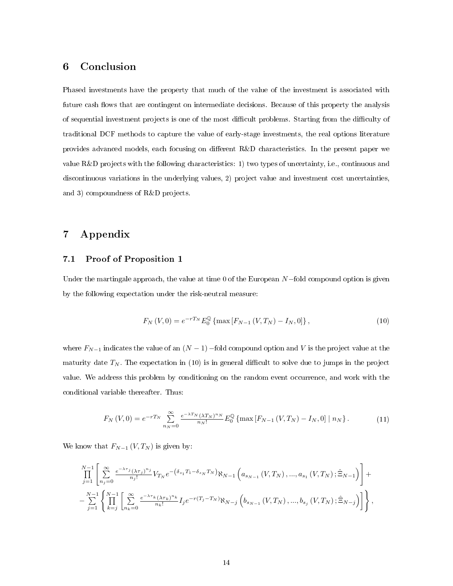## 6 Conclusion

Phased investments have the property that much of the value of the investment is associated with future cash flows that are contingent on intermediate decisions. Because of this property the analysis of sequential investment projects is one of the most difficult problems. Starting from the difficulty of traditional DCF methods to capture the value of early-stage investments, the real options literature provides advanced models, each focusing on different R&D characteristics. In the present paper we value R&D projects with the following characteristics: 1) two types of uncertainty, i.e., continuous and discontinuous variations in the underlying values, 2) project value and investment cost uncertainties, and 3) compoundness of R&D projects.

## 7 Appendix

### 7.1 Proof of Proposition 1

Under the martingale approach, the value at time 0 of the European  $N$ –fold compound option is given by the following expectation under the risk-neutral measure:

$$
F_N(V,0) = e^{-rT_N} E_0^{\mathbb{Q}} \{ \max \left[ F_{N-1} \left( V, T_N \right) - I_N, 0 \right] \},\tag{10}
$$

where  $F_{N-1}$  indicates the value of an  $(N-1)$  –fold compound option and V is the project value at the maturity date  $T_N$ . The expectation in (10) is in general difficult to solve due to jumps in the project value. We address this problem by conditioning on the random event occurrence, and work with the conditional variable thereafter. Thus:

$$
F_N(V,0) = e^{-rT_N} \sum_{n_N=0}^{\infty} \frac{e^{-\lambda T_N} (\lambda T_N)^{n_N}}{n_N!} E_0^{\mathbb{Q}} \left\{ \max \left[ F_{N-1} \left( V, T_N \right) - I_N, 0 \right] \mid n_N \right\}.
$$
 (11)

We know that  $F_{N-1} (V, T_N)$  is given by:

$$
\prod_{j=1}^{N-1} \left[ \sum_{n_j=0}^{\infty} \frac{e^{-\lambda \tau_j} (\lambda \tau_j)^{n_j}}{n_j!} V_{T_N} e^{-\left(\delta_{s_1} T_1 - \delta_{s_N} T_N\right)} \aleph_{N-1}\left(a_{s_{N-1}}\left(V, T_N\right), ..., a_{s_1}\left(V, T_N\right); \hat{\Xi}_{N-1}\right) \right] +
$$
  

$$
- \sum_{j=1}^{N-1} \left\{ \prod_{k=j}^{N-1} \left[ \sum_{n_k=0}^{\infty} \frac{e^{-\lambda \tau_k} (\lambda \tau_k)^{n_k}}{n_k!} I_j e^{-r(T_j - T_N)} \aleph_{N-j}\left(b_{s_{N-1}}\left(V, T_N\right), ..., b_{s_j}\left(V, T_N\right); \hat{\Xi}_{N-j}\right) \right] \right\},
$$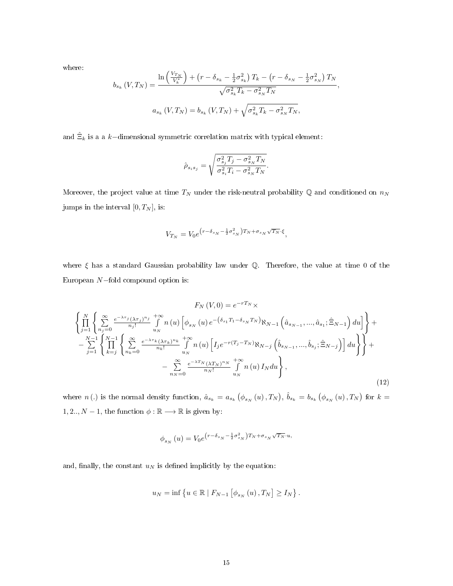where:

$$
b_{s_k} (V, T_N) = \frac{\ln\left(\frac{V_{T_N}}{V_k^*}\right) + \left(r - \delta_{s_k} - \frac{1}{2}\sigma_{s_k}^2\right) T_k - \left(r - \delta_{s_N} - \frac{1}{2}\sigma_{s_N}^2\right) T_N}{\sqrt{\sigma_{s_k}^2 T_k - \sigma_{s_N}^2 T_N}},
$$
  

$$
a_{s_k} (V, T_N) = b_{s_k} (V, T_N) + \sqrt{\sigma_{s_k}^2 T_k - \sigma_{s_N}^2 T_N},
$$

and  $\hat{\Xi}_k$  is a a k–dimensional symmetric correlation matrix with typical element:

$$
\hat{\rho}_{s_i s_j} = \sqrt{\frac{\sigma_{s_j}^2 T_j - \sigma_{s_N}^2 T_N}{\sigma_{s_i}^2 T_i - \sigma_{s_N}^2 T_N}}.
$$

Moreover, the project value at time  $T_N$  under the risk-neutral probability  $\mathbb Q$  and conditioned on  $n_N$ jumps in the interval  $[0, T_N]$ , is:

$$
V_{T_N} = V_0 e^{\left(r - \delta_{s_N} - \frac{1}{2}\sigma_{s_N}^2\right)T_N + \sigma_{s_N}\sqrt{T_N}} \cdot \xi,
$$

where  $\xi$  has a standard Gaussian probability law under Q. Therefore, the value at time 0 of the European N−fold compound option is:

$$
F_{N}(V,0) = e^{-rT_{N}} \times \left\{ \prod_{j=1}^{N} \left\{ \sum_{n_{j}=0}^{\infty} \frac{e^{-\lambda \tau_{j} (\lambda \tau_{j})^{n_{j}}}}{n_{j}!} \int_{u_{N}}^{+\infty} n(u) \left[ \phi_{s_{N}}(u) e^{-\left(\delta_{s_{1}} T_{1} - \delta_{s_{N}} T_{N}\right)} \aleph_{N-1}\left(\hat{a}_{s_{N-1}}, ..., \hat{a}_{s_{1}}; \hat{\Xi}_{N-1}\right) du \right] \right\} + \left. - \sum_{j=1}^{N-1} \left\{ \prod_{k=j}^{N-1} \left\{ \sum_{n_{k}=0}^{\infty} \frac{e^{-\lambda \tau_{k} (\lambda \tau_{k})^{n_{k}}}}{n_{k}!} \int_{u_{N}}^{+\infty} n(u) \left[ I_{j} e^{-r(T_{j}-T_{N})} \aleph_{N-j}\left(\hat{b}_{s_{N-1}}, ..., \hat{b}_{s_{j}}; \hat{\Xi}_{N-j}\right) \right] du \right\} \right\} + \left. - \sum_{n_{N}=0}^{\infty} \frac{e^{-\lambda T_{N} (\lambda T_{N})^{n_{N}}}}{n_{N}!} \int_{u_{N}}^{+\infty} n(u) I_{N} du \right\},
$$
\n(12)

where n(.) is the normal density function,  $\hat{a}_{s_k} = a_{s_k} (\phi_{s_N}(u), T_N)$ ,  $\hat{b}_{s_k} = b_{s_k} (\phi_{s_N}(u), T_N)$  for  $k =$ 1, 2..,  $N-1$ , the function  $\phi : \mathbb{R} \longrightarrow \mathbb{R}$  is given by:

$$
\phi_{s_N}\left(u\right)=V_0e^{\left(r-\delta_{s_N}-\frac{1}{2}\sigma_{s_N}^2\right)T_N+\sigma_{s_N}\sqrt{T_N}\cdot u},
$$

and, finally, the constant  $u_N$  is defined implicitly by the equation:

$$
u_N = \inf \left\{ u \in \mathbb{R} \mid F_{N-1} \left[ \phi_{s_N} \left( u \right), T_N \right] \ge I_N \right\}.
$$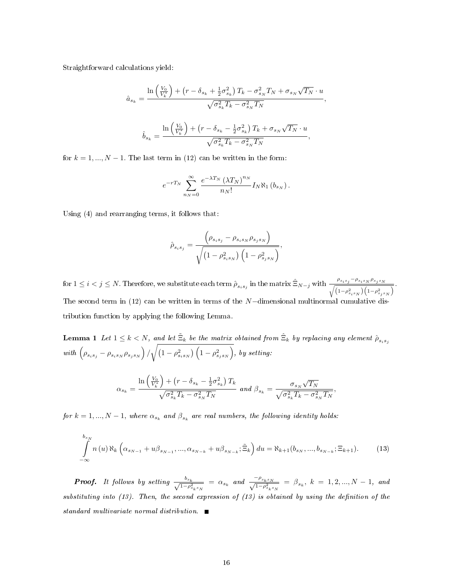Straightforward calculations yield:

$$
\hat{a}_{s_k} = \frac{\ln\left(\frac{V_0}{V_k^*}\right) + \left(r - \delta_{s_k} + \frac{1}{2}\sigma_{s_k}^2\right)T_k - \sigma_{s_N}^2 T_N + \sigma_{s_N}\sqrt{T_N} \cdot u}{\sqrt{\sigma_{s_k}^2 T_k - \sigma_{s_N}^2 T_N}},
$$
\n
$$
\hat{b}_{s_k} = \frac{\ln\left(\frac{V_0}{V_k^*}\right) + \left(r - \delta_{s_k} - \frac{1}{2}\sigma_{s_k}^2\right)T_k + \sigma_{s_N}\sqrt{T_N} \cdot u}{\sqrt{\sigma_{s_k}^2 T_k - \sigma_{s_N}^2 T_N}},
$$

for  $k = 1, ..., N - 1$ . The last term in (12) can be written in the form:

$$
e^{-rT_N}\sum_{n_N=0}^{\infty}\frac{e^{-\lambda T_N}(\lambda T_N)^{n_N}}{n_N!}I_N\aleph_1(b_{s_N}).
$$

Using (4) and rearranging terms, it follows that:

$$
\hat{\rho}_{s_i s_j} = \frac{\left(\rho_{s_i s_j} - \rho_{s_i s_N} \rho_{s_j s_N}\right)}{\sqrt{\left(1 - \rho_{s_i s_N}^2\right)\left(1 - \rho_{s_j s_N}^2\right)}},
$$

for  $1 \leq i < j \leq N$ . Therefore, we substitute each term  $\hat{\rho}_{s_i s_j}$  in the matrix  $\hat{\Xi}_{N-j}$  with  $\frac{\rho_{s_i s_j} - \rho_{s_i s_N}}{\sqrt{N}}$ <sup>1</sup>  $\rho_{s_j s_N}$  $\frac{r_{s_is_j} - r_{s_is_N}r_{s_js_N}}{\left(1 - \rho_{s_is_N}^2\right)\left(1 - \rho_{s_js_N}^2\right)}.$ The second term in (12) can be written in terms of the N−dimensional multinormal cumulative distribution function by applying the following Lemma.

**Lemma 1** Let  $1 \leq k < N$ , and let  $\tilde{\Xi}_k$  be the matrix obtained from  $\hat{\Xi}_k$  by replacing any element  $\hat{\rho}_{s_is_j}$ with  $(\rho_{s_is_j} - \rho_{s_is_N} \rho_{s_js_N}) / \sqrt{(1-\rho_{s_is_N}^2)\left(1-\rho_{s_js_N}^2\right)}$ , by setting:

$$
\alpha_{s_k} = \frac{\ln\left(\frac{V_0}{V_k^*}\right) + \left(r - \delta_{s_k} - \frac{1}{2}\sigma_{s_k}^2\right)T_k}{\sqrt{\sigma_{s_k}^2T_k - \sigma_{s_N}^2T_N}} \text{ and } \beta_{s_k} = \frac{\sigma_{s_N}\sqrt{T_N}}{\sqrt{\sigma_{s_k}^2T_k - \sigma_{s_N}^2T_N}},
$$

for  $k = 1, ..., N - 1$ , where  $\alpha_{s_k}$  and  $\beta_{s_k}$  are real numbers, the following identity holds:

$$
\int_{-\infty}^{b_{s_N}} n(u) \aleph_k \left( \alpha_{s_{N-1}} + u \beta_{s_{N-1}}, \dots, \alpha_{s_{N-k}} + u \beta_{s_{N-k}}; \tilde{\Xi}_k \right) du = \aleph_{k+1}(b_{s_N}, \dots, b_{s_{N-k}}; \Xi_{k+1}).
$$
 (13)

**Proof.** It follows by setting  $\frac{b_{s_k}}{\sqrt{1-\epsilon^2}}$  $\frac{b_{s_k}}{1-\rho_{s_ks_N}^2} = \alpha_{s_k}$  and  $\frac{-\rho_{s_ks_N}}{\sqrt{1-\rho_{s_ks_N}^2}}$  $\frac{\mu_{s_k s_N}}{1-\rho_{s_k s_N}^2} = \beta_{s_k}, k = 1, 2, ..., N-1, and$ substituting into  $(13)$ . Then, the second expression of  $(13)$  is obtained by using the definition of the standard multivariate normal distribution.  $\blacksquare$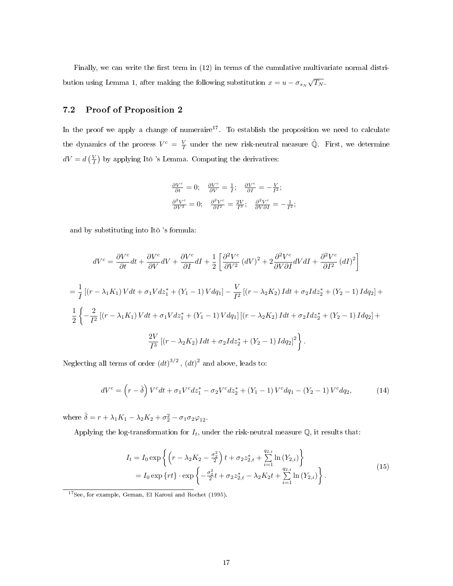Finally, we can write the first term in  $(12)$  in terms of the cumulative multivariate normal distribution using Lemma 1, after making the following substitution  $x = u - \sigma_{s_N} \sqrt{T_N}$ .

## 7.2 Proof of Proposition 2

In the proof we apply a change of numeraire<sup>17</sup>. To establish the proposition we need to calculate the dynamics of the process  $V^c = \frac{V}{I}$  under the new risk-neutral measure  $\tilde{\mathbb{Q}}$ . First, we determine  $dV = d\left(\frac{V}{I}\right)$  by applying Itô 's Lemma. Computing the derivatives:

$$
\frac{\partial V^c}{\partial t} = 0; \quad \frac{\partial V^c}{\partial V} = \frac{1}{I}; \quad \frac{\partial V^c}{\partial I} = -\frac{V}{I^2};
$$
  

$$
\frac{\partial^2 V^c}{\partial V^2} = 0; \quad \frac{\partial^2 V^c}{\partial I^2} = \frac{2V}{I^3}; \quad \frac{\partial^2 V^c}{\partial V \partial I} = -\frac{1}{I^2};
$$

and by substituting into Itô 's formula:

$$
dV^{c} = \frac{\partial V^{c}}{\partial t}dt + \frac{\partial V^{c}}{\partial V}dV + \frac{\partial V^{c}}{\partial I}dI + \frac{1}{2}\left[\frac{\partial^{2}V^{c}}{\partial V^{2}}\left(dV\right)^{2} + 2\frac{\partial^{2}V^{c}}{\partial V\partial I}dVdI + \frac{\partial^{2}V^{c}}{\partial I^{2}}\left(dI\right)^{2}\right]
$$
  
\n
$$
= \frac{1}{I}\left[(r - \lambda_{1}K_{1})Vdt + \sigma_{1}Vdz_{1}^{*} + (Y_{1} - 1)Vdq_{1}\right] - \frac{V}{I^{2}}\left[(r - \lambda_{2}K_{2})Idt + \sigma_{2}Idz_{2}^{*} + (Y_{2} - 1)Idq_{2}\right] + \frac{1}{2}\left\{-\frac{2}{I^{2}}\left[(r - \lambda_{1}K_{1})Vdt + \sigma_{1}Vdz_{1}^{*} + (Y_{1} - 1)Vdq_{1}\right]\left[(r - \lambda_{2}K_{2})Idt + \sigma_{2}Idz_{2}^{*} + (Y_{2} - 1)Idq_{2}\right] + \frac{2V}{I^{3}}\left[(r - \lambda_{2}K_{2})Idt + \sigma_{2}Idz_{2}^{*} + (Y_{2} - 1)Idq_{2}\right]^{2}\right\}.
$$

Neglecting all terms of order  $(dt)^{3/2}$ ,  $(dt)^2$  and above, leads to:

$$
dV^{c} = \left(r - \hat{\delta}\right)V^{c}dt + \sigma_{1}V^{c}dz_{1}^{*} - \sigma_{2}V^{c}dz_{2}^{*} + \left(Y_{1} - 1\right)V^{c}dq_{1} - \left(Y_{2} - 1\right)V^{c}dq_{2},\tag{14}
$$

where  $\hat{\delta} = r + \lambda_1 K_1 - \lambda_2 K_2 + \sigma_2^2 - \sigma_1 \sigma_2 \varphi_{12}$ .

Applying the log-transformation for  $I_t$ , under the risk-neutral measure  $\mathbb{Q}$ , it results that:

$$
I_{t} = I_{0} \exp \left\{ \left( r - \lambda_{2} K_{2} - \frac{\sigma_{2}^{2}}{2} \right) t + \sigma_{2} z_{2,t}^{*} + \sum_{i=1}^{q_{2,t}} \ln \left( Y_{2,i} \right) \right\}
$$
  
=  $I_{0} \exp \left\{ rt \right\} \cdot \exp \left\{ -\frac{\sigma_{2}^{2}}{2} t + \sigma_{2} z_{2,t}^{*} - \lambda_{2} K_{2} t + \sum_{i=1}^{q_{2,t}} \ln \left( Y_{2,i} \right) \right\}.$  (15)

<sup>17</sup>See, for example, Geman, El Karoui and Rochet (1995).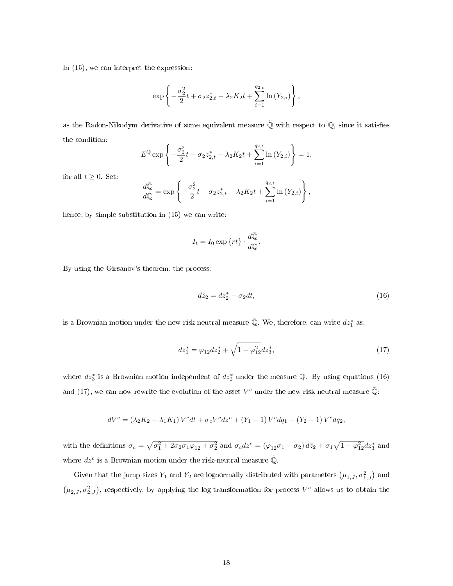In (15), we can interpret the expression:

$$
\exp\left\{-\frac{\sigma_{2}^{2}}{2}t+\sigma_{2}z_{2,t}^{*}-\lambda_{2}K_{2}t+\sum_{i=1}^{q_{2,t}}\ln\left(Y_{2,i}\right)\right\},\,
$$

as the Radon-Nikodym derivative of some equivalent measure  $\tilde{\mathbb{Q}}$  with respect to  $\mathbb{Q}$ , since it satisfies the condition:

$$
E^{\mathbb{Q}} \exp \left\{ -\frac{\sigma_2^2}{2} t + \sigma_2 z_{2,t}^* - \lambda_2 K_2 t + \sum_{i=1}^{q_{2,t}} \ln \left( Y_{2,i} \right) \right\} = 1,
$$

for all  $t \geq 0$ . Set:

$$
\frac{d\tilde{\mathbb{Q}}}{d\mathbb{Q}} = \exp\left\{-\frac{\sigma_2^2}{2}t + \sigma_2 z_{2,t}^* - \lambda_2 K_2 t + \sum_{i=1}^{q_{2,t}} \ln(Y_{2,i})\right\},\,
$$

hence, by simple substitution in (15) we can write:

$$
I_t = I_0 \exp\{rt\} \cdot \frac{d\tilde{\mathbb{Q}}}{d\mathbb{Q}}.
$$

By using the Girsanov's theorem, the process:

$$
d\tilde{z}_2 = dz_2^* - \sigma_2 dt,\t\t(16)
$$

is a Brownian motion under the new risk-neutral measure  $\tilde{\mathbb{Q}}$ . We, therefore, can write  $dz_1^*$  as:

$$
dz_1^* = \varphi_{12} dz_2^* + \sqrt{1 - \varphi_{12}^2} dz_3^*,\tag{17}
$$

where  $dz_3^*$  is a Brownian motion independent of  $dz_2^*$  under the measure Q. By using equations (16) and (17), we can now rewrite the evolution of the asset  $V^c$  under the new risk-neutral measure  $\tilde{Q}$ :

$$
dV^{c} = (\lambda_{2}K_{2} - \lambda_{1}K_{1}) V^{c}dt + \sigma_{c}V^{c}dz^{c} + (Y_{1} - 1)V^{c}dq_{1} - (Y_{2} - 1)V^{c}dq_{2},
$$

with the definitions  $\sigma_c = \sqrt{\sigma_1^2 + 2\sigma_2\sigma_1\varphi_{12} + \sigma_2^2}$  and  $\sigma_c dz^c = (\varphi_{12}\sigma_1 - \sigma_2) d\tilde{z}_2 + \sigma_1\sqrt{1 - \varphi_{12}^2} dz_3^*$  and where  $dz^c$  is a Brownian motion under the risk-neutral measure  $\tilde{Q}$ .

Given that the jump sizes  $Y_1$  and  $Y_2$  are lognormally distributed with parameters  $(\mu_{1,J}, \sigma_{1,J}^2)$  and  $(\mu_{2,J}, \sigma_{2,J}^2)$ , respectively, by applying the log-transformation for process  $V^c$  allows us to obtain the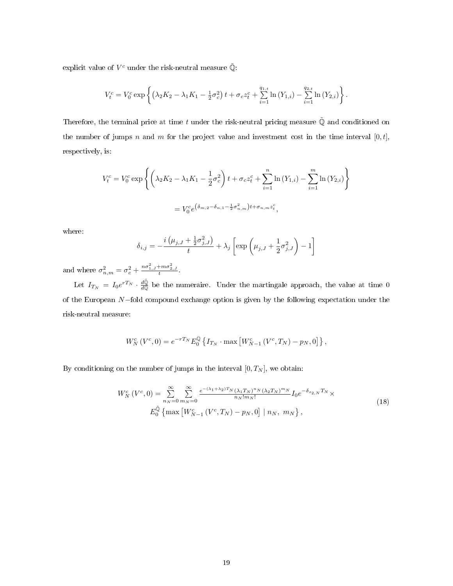explicit value of  $V^c$  under the risk-neutral measure  $\tilde{\mathbb{Q}}$ :

$$
V_t^c = V_0^c \exp \left\{ \left( \lambda_2 K_2 - \lambda_1 K_1 - \frac{1}{2} \sigma_c^2 \right) t + \sigma_c z_t^c + \sum_{i=1}^{q_{1,t}} \ln \left( Y_{1,i} \right) - \sum_{i=1}^{q_{2,t}} \ln \left( Y_{2,i} \right) \right\}.
$$

Therefore, the terminal price at time t under the risk-neutral pricing measure  $\tilde{\mathbb{Q}}$  and conditioned on the number of jumps n and m for the project value and investment cost in the time interval  $[0, t]$ , respectively, is:

$$
V_t^c = V_0^c \exp \left\{ \left( \lambda_2 K_2 - \lambda_1 K_1 - \frac{1}{2} \sigma_c^2 \right) t + \sigma_c z_t^c + \sum_{i=1}^n \ln \left( Y_{1,i} \right) - \sum_{i=1}^m \ln \left( Y_{2,i} \right) \right\}
$$
  
= 
$$
V_0^c e^{\left( \delta_{m,2} - \delta_{n,1} - \frac{1}{2} \sigma_{n,m}^2 \right) t + \sigma_{n,m} z_i^c},
$$

where:

$$
\delta_{i,j} = -\frac{i(\mu_{j,J} + \frac{1}{2}\sigma_{j,J}^2)}{t} + \lambda_j \left[ \exp\left(\mu_{j,J} + \frac{1}{2}\sigma_{j,J}^2\right) - 1 \right]
$$

and where  $\sigma_{n,m}^2 = \sigma_c^2 + \frac{n\sigma_{1,J}^2 + m\sigma_{2,J}^2}{t}$ .

Let  $I_{T_N} = I_0 e^{rT_N} \cdot \frac{d\tilde{\mathbb{Q}}}{d\mathbb{Q}}$  be the numeraire. Under the martingale approach, the value at time 0 of the European N−fold compound exchange option is given by the following expectation under the risk-neutral measure:

$$
W_N^c(V^c,0) = e^{-rT_N} E_0^{\mathbb{Q}} \left\{ I_{T_N} \cdot \max \left[ W_{N-1}^c(V^c,T_N) - p_N,0 \right] \right\},\,
$$

By conditioning on the number of jumps in the interval  $[0, T_N]$ , we obtain:

$$
W_N^c(V^c,0) = \sum_{n_N=0}^{\infty} \sum_{m_N=0}^{\infty} \frac{e^{-(\lambda_1 + \lambda_2)T_N} (\lambda_1 T_N)^{n_N} (\lambda_2 T_N)^{m_N}}{n_N! m_N!} I_0 e^{-\delta_{s_{2,N}} T_N} \times
$$
  
\n
$$
E_0^{\tilde{\mathbb{Q}}} \{ \max \left[ W_{N-1}^c(V^c, T_N) - p_N, 0 \right] | n_N, m_N \},
$$
\n(18)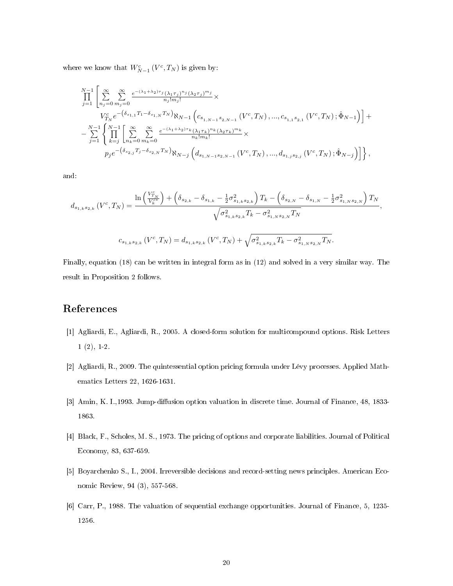where we know that  $W_{N-1}^c(V^c,T_N)$  is given by:

$$
\begin{split} &\prod_{j=1}^{N-1}\left[\sum_{n_{j}=0}^{\infty}\sum_{m_{j}=0}^{\infty}\frac{e^{-(\lambda_{1}+\lambda_{2})\tau_{j}}(\lambda_{1}\tau_{j})^{n_{j}}(\lambda_{2}\tau_{j})^{m_{j}}}{n_{j}!m_{j}!}\times \right.\\ &\left. V_{T_{N}}^{c}e^{-\left(\delta_{s_{1,1}}T_{1}-\delta_{s_{1,N}}T_{N}\right)}\aleph_{N-1}\left(c_{s_{1,N-1}s_{2,N-1}}\left(V^{c},T_{N}\right),...,c_{s_{1,1}s_{2,1}}\left(V^{c},T_{N}\right);\hat{\Phi}_{N-1}\right)\right]+\\ &-\sum_{j=1}^{N-1}\left\{\prod_{k=j}^{N-1}\left[\sum_{n_{k}=0}^{\infty}\sum_{m_{k}=0}^{\infty}\frac{e^{-(\lambda_{1}+\lambda_{2})\tau_{k}}(\lambda_{1}\tau_{k})^{n_{k}}(\lambda_{2}\tau_{k})^{m_{k}}}{n_{k}!m_{k}!}\times \right.\\ &\left. p_{j}e^{-\left(\delta_{s_{2,j}}T_{j}-\delta_{s_{2,N}}T_{N}\right)}\aleph_{N-j}\left(d_{s_{1,N-1}s_{2,N-1}}\left(V^{c},T_{N}\right),...,d_{s_{1,j}s_{2,j}}\left(V^{c},T_{N}\right);\hat{\Phi}_{N-j}\right)\right]\right\}, \end{split}
$$

and:

$$
d_{s_{1,k}s_{2,k}}\left(V^{c},T_{N}\right) = \frac{\ln\left(\frac{V^{c}_{T_{N}}}{V^{c*}_{k}}\right) + \left(\delta_{s_{2,k}} - \delta_{s_{1,k}} - \frac{1}{2}\sigma_{s_{1,k}s_{2,k}}^{2}\right)T_{k} - \left(\delta_{s_{2,N}} - \delta_{s_{1,N}} - \frac{1}{2}\sigma_{s_{1,N}s_{2,N}}^{2}\right)T_{N}}{\sqrt{\sigma_{s_{1,k}s_{2,k}}^{2}T_{k} - \sigma_{s_{1,N}s_{2,N}}^{2}T_{N}}},
$$
\n
$$
c_{s_{1,k}s_{2,k}}\left(V^{c},T_{N}\right) = d_{s_{1,k}s_{2,k}}\left(V^{c},T_{N}\right) + \sqrt{\sigma_{s_{1,k}s_{2,k}}^{2}T_{k} - \sigma_{s_{1,N}s_{2,N}}^{2}T_{N}}.
$$

Finally, equation (18) can be written in integral form as in (12) and solved in a very similar way. The result in Proposition 2 follows.

## References

- [1] Agliardi, E., Agliardi, R., 2005. A closed-form solution for multicompound options. Risk Letters 1 (2), 1-2.
- [2] Agliardi, R., 2009. The quintessential option pricing formula under Lévy processes. Applied Mathematics Letters 22, 1626-1631.
- [3] Amin, K. I., 1993. Jump-diffusion option valuation in discrete time. Journal of Finance, 48, 1833-1863.
- [4] Black, F., Scholes, M. S., 1973. The pricing of options and corporate liabilities. Journal of Political Economy, 83, 637-659.
- [5] Boyarchenko S., I., 2004. Irreversible decisions and record-setting news principles. American Economic Review, 94 (3), 557-568.
- [6] Carr, P., 1988. The valuation of sequential exchange opportunities. Journal of Finance, 5, 1235- 1256.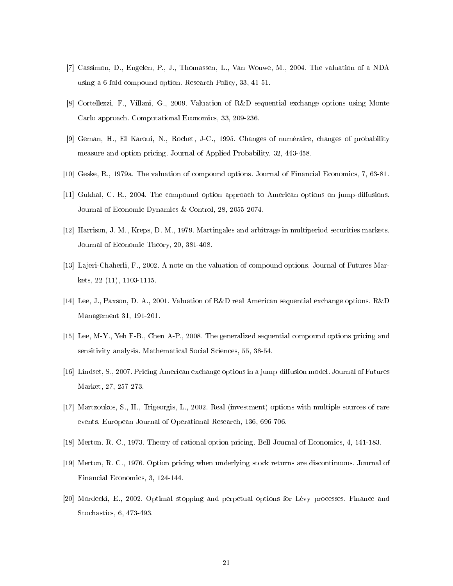- [7] Cassimon, D., Engelen, P., J., Thomassen, L., Van Wouwe, M., 2004. The valuation of a NDA using a 6-fold compound option. Research Policy, 33, 41-51.
- [8] Cortellezzi, F., Villani, G., 2009. Valuation of R&D sequential exchange options using Monte Carlo approach. Computational Economics, 33, 209-236.
- [9] Geman, H., El Karoui, N., Rochet, J-C., 1995. Changes of numéraire, changes of probability measure and option pricing. Journal of Applied Probability, 32, 443-458.
- [10] Geske, R., 1979a. The valuation of compound options. Journal of Financial Economics, 7, 63-81.
- [11] Gukhal, C. R., 2004. The compound option approach to American options on jump-diffusions. Journal of Economic Dynamics & Control, 28, 2055-2074.
- [12] Harrison, J. M., Kreps, D. M., 1979. Martingales and arbitrage in multiperiod securities markets. Journal of Economic Theory, 20, 381-408.
- [13] Lajeri-Chaherli, F., 2002. A note on the valuation of compound options. Journal of Futures Markets, 22 (11), 1103-1115.
- [14] Lee, J., Paxson, D. A., 2001. Valuation of R&D real American sequential exchange options. R&D Management 31, 191-201.
- [15] Lee, M-Y., Yeh F-B., Chen A-P., 2008. The generalized sequential compound options pricing and sensitivity analysis. Mathematical Social Sciences, 55, 38-54.
- [16] Lindset, S., 2007. Pricing American exchange options in a jump-diffusion model. Journal of Futures Market, 27, 257-273.
- [17] Martzoukos, S., H., Trigeorgis, L., 2002. Real (investment) options with multiple sources of rare events. European Journal of Operational Research, 136, 696-706.
- [18] Merton, R. C., 1973. Theory of rational option pricing. Bell Journal of Economics, 4, 141-183.
- [19] Merton, R. C., 1976. Option pricing when underlying stock returns are discontinuous. Journal of Financial Economics, 3, 124-144.
- [20] Mordecki, E., 2002. Optimal stopping and perpetual options for Lévy processes. Finance and Stochastics, 6, 473-493.